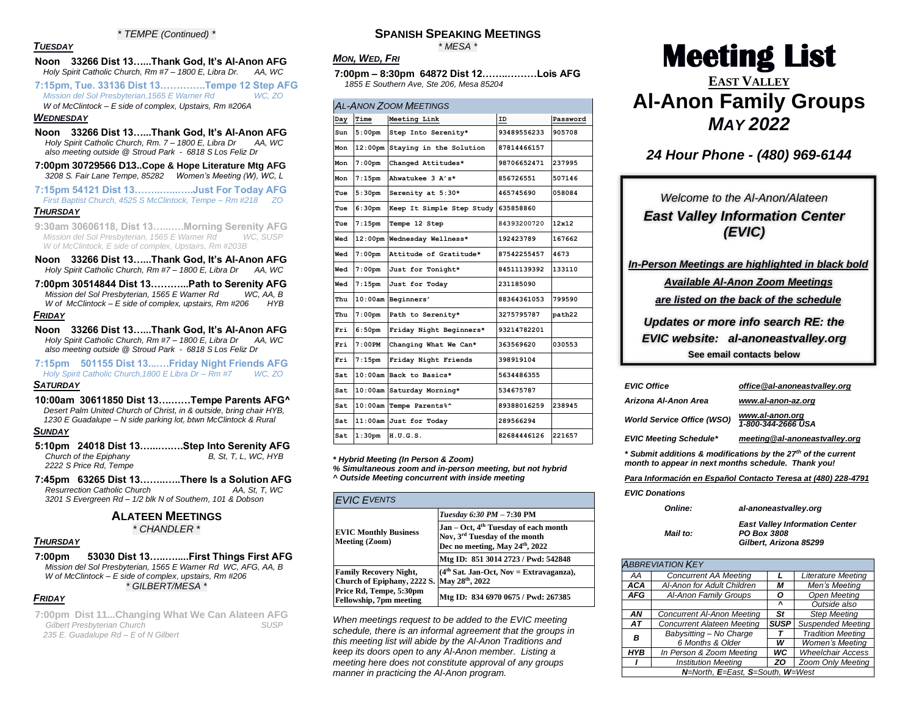#### *\* TEMPE (Continued) \**

### *TUESDAY*

#### **Noon 33266 Dist 13…...Thank God, It's Al-Anon AFG** *Holy Spirit Catholic Church, Rm #7 – 1800 E, Libra Dr. AA, WC*

**7:15pm, Tue. 33136 Dist 13…………..Tempe 12 Step AFG** *Mission del Sol Presbyterian,1565 E Warner Rd WC, ZO*

*W of McClintock – E side of complex, Upstairs, Rm #206A*

### *WEDNESDAY*

- **Noon 33266 Dist 13…...Thank God, It's Al-Anon AFG** *Holy Spirit Catholic Church, Rm. 7 – 1800 E, Libra Dr AA, WC also meeting outside @ Stroud Park - 6818 S Los Feliz Dr*
- **7:00pm 30729566 D13..Cope & Hope Literature Mtg AFG** *3208 S. Fair Lane Tempe, 85282 Women's Meeting (W), WC, L*
- **7:15pm 54121 Dist 13……..…...…..Just For Today AFG** *First Baptist Church, 4525 S McClintock, Tempe – Rm #218 ZO*

#### *THURSDAY*

- **9:30am 30606118, Dist 13…...….Morning Serenity AFG** *Mission del Sol Presbyterian, 1565 E Warner Rd W of McClintock, E side of complex, Upstairs, Rm #203B*
- **Noon 33266 Dist 13…...Thank God, It's Al-Anon AFG** *Holy Spirit Catholic Church, Rm #7 – 1800 E, Libra Dr AA, WC*
- **7:00pm 30514844 Dist 13………...Path to Serenity AFG**  *Mission del Sol Presbyterian, 1565 E Warner Rd W of McClintock – E side of complex, upstairs, Rm #206 HYB FRIDAY*
- **Noon 33266 Dist 13…...Thank God, It's Al-Anon AFG** *Holy Spirit Catholic Church, Rm #7 – 1800 E, Libra Dr AA, WC also meeting outside @ Stroud Park - 6818 S Los Feliz Dr*
- **7:15pm 501155 Dist 13...….Friday Night Friends AFG** *Holy Spirit Catholic Church,1800 E Libra Dr – Rm #7 WC, ZO*

### *SATURDAY*

**10:00am 30611850 Dist 13….……Tempe Parents AFG^** *Desert Palm United Church of Christ, in & outside, bring chair HYB, 1230 E Guadalupe – N side parking lot, btwn McClintock & Rural*

#### *SUNDAY*

- **5:10pm 24018 Dist 13…...….….Step Into Serenity AFG** *Church of the Epiphany 2222 S Price Rd, Tempe*
- **7:45pm 63265 Dist 13……..…..There Is a Solution AFG** *Resurrection Catholic Church AA, St, T, WC 3201 S Evergreen Rd – 1/2 blk N of Southern, 101 & Dobson*

### **ALATEEN MEETINGS**

*\* CHANDLER \** 

#### *THURSDAY*

#### **7:00pm 53030 Dist 13…..….....First Things First AFG** *Mission del Sol Presbyterian, 1565 E Warner Rd WC, AFG, AA, B W of McClintock – E side of complex, upstairs, Rm #206 \* GILBERT/MESA \**

### *FRIDAY*

**7:00pm Dist 11...Changing What We Can Alateen AFG** *Gilbert Presbyterian Church SUSP 235 E. Guadalupe Rd – E of N Gilbert* 

### **SPANISH SPEAKING MEETINGS**

*\* MESA \**

### *MON, WED, FRI*

**7:00pm – 8:30pm 64872 Dist 12……..………Lois AFG** *1855 E Southern Ave, Ste 206, Mesa 85204* 

### *AL-ANON ZOOM MEETINGS*

| Day  | Time                | Meeting Link              | ID          | Password |
|------|---------------------|---------------------------|-------------|----------|
| Sun  | 5:00 <sub>pm</sub>  | Step Into Serenity*       | 93489556233 | 905708   |
| Mon  | 12:00 <sub>pm</sub> | Staying in the Solution   | 87814466157 |          |
| Mon  | $7:00$ pm           | Changed Attitudes*        | 98706652471 | 237995   |
| Mon  | $7:15$ pm           | Ahwatukee 3 A's*          | 856726551   | 507146   |
| Tue  | 5:30 <sub>pm</sub>  | Serenity at 5:30*         | 465745690   | 058084   |
| Tue  | 6:30 <sub>pm</sub>  | Keep It Simple Step Study | 635858860   |          |
| Tue  | $7:15$ pm           | Tempe 12 Step             | 84393200720 | 12x12    |
| Wed  | $12:00$ pm          | Wednesday Wellness*       | 192423789   | 167662   |
| Wed  | $7:00$ pm           | Attitude of Gratitude*    | 87542255457 | 4673     |
| Wed  | 7:00 <sub>pm</sub>  | Just for Tonight*         | 84511139392 | 133110   |
| Wed  | $7:15$ pm           | Just for Today            | 231185090   |          |
| Thu  | 10:00am             | Beginners'                | 88364361053 | 799590   |
| Thu  | $7:00$ pm           | Path to Serenity*         | 3275795787  | path22   |
| Fri  | 6:50 <sub>pm</sub>  | Friday Night Beginners*   | 93214782201 |          |
| Fri  | $7:00$ PM           | Changing What We Can*     | 363569620   | 030553   |
| Fri  | 7:15 <sub>pm</sub>  | Friday Night Friends      | 398919104   |          |
| Sat. | 10:00am             | Back to Basics*           | 5634486355  |          |
| Sat  | 10:00am             | Saturday Morning*         | 534675787   |          |
| Sat  | 10:00am             | Tempe Parents%^           | 89388016259 | 238945   |
| Sat. |                     | 11:00am Just for Today    | 289566294   |          |
| Sat  | 1:30 <sub>pm</sub>  | H.U.G.S.                  | 82684446126 | 221657   |
|      |                     |                           |             |          |

*\* Hybrid Meeting (In Person & Zoom)*

*% Simultaneous zoom and in-person meeting, but not hybrid ^ Outside Meeting concurrent with inside meeting*

| <b>EVIC EVENTS</b>                                                          |                                                                                                                                 |  |  |  |  |
|-----------------------------------------------------------------------------|---------------------------------------------------------------------------------------------------------------------------------|--|--|--|--|
|                                                                             | Tuesday 6:30 PM - 7:30 PM                                                                                                       |  |  |  |  |
| <b>EVIC Monthly Business</b><br>Meeting (Zoom)                              | Jan – Oct, 4 <sup>th</sup> Tuesday of each month<br>Nov, 3 <sup>rd</sup> Tuesday of the month<br>Dec no meeting, May 24th, 2022 |  |  |  |  |
|                                                                             | Mtg ID: 851 3014 2723 / Pwd: 542848                                                                                             |  |  |  |  |
| <b>Family Recovery Night,</b><br>Church of Epiphany, 2222 S. May 28th, 2022 | $(4th Sat. Jan-Oct, Nov = Extravaganza),$                                                                                       |  |  |  |  |
| Price Rd, Tempe, 5:30pm<br><b>Fellowship, 7pm meeting</b>                   | Mtg ID: 834 6970 0675 / Pwd: 267385                                                                                             |  |  |  |  |

*When meetings request to be added to the EVIC meeting schedule, there is an informal agreement that the groups in this meeting list will abide by the Al-Anon Traditions and keep its doors open to any Al-Anon member. Listing a meeting here does not constitute approval of any groups manner in practicing the Al-Anon program.* 

# **Meeting List EAST VALLEY Al-Anon Family Groups** *MAY 2022*

### *24 Hour Phone - (480) 969-6144*

## *Welcome to the Al-Anon/Alateen East Valley Information Center (EVIC)*

*In-Person Meetings are highlighted in black bold*

*Available Al-Anon Zoom Meetings* 

*are listed on the back of the schedule* 

*Updates or more info search RE: the EVIC website: al-anoneastvalley.org* **See email contacts below**

| <b>EVIC Office</b>                                                                                                               | office@al-anoneastvalley.org          |  |  |  |
|----------------------------------------------------------------------------------------------------------------------------------|---------------------------------------|--|--|--|
| Arizona Al-Anon Area                                                                                                             | www.al-anon-az.org                    |  |  |  |
| <b>World Service Office (WSO)</b>                                                                                                | www.al-anon.org<br>1-800-344-2666 USA |  |  |  |
| <b>EVIC Meeting Schedule*</b>                                                                                                    | meeting@al-anoneastvalley.org         |  |  |  |
| * Submit additions & modifications by the 27 <sup>th</sup> of the current<br>month to appear in next months schedule. Thank you! |                                       |  |  |  |

*Para Información en Español Contacto Teresa at (480) 228-4791*

*EVIC Donations*

| <b>Online:</b> | al-anoneastvalley.org                                                          |  |
|----------------|--------------------------------------------------------------------------------|--|
| Mail to:       | <b>East Valley Information Center</b><br>PO Box 3808<br>Gilbert, Arizona 85299 |  |

|                                  | <b>ABBREVIATION KEY</b>           |             |                          |  |  |  |  |
|----------------------------------|-----------------------------------|-------------|--------------------------|--|--|--|--|
| AA                               | <b>Concurrent AA Meeting</b>      | ı           | Literature Meeting       |  |  |  |  |
| <b>ACA</b>                       | Al-Anon for Adult Children        | м           | Men's Meeting            |  |  |  |  |
| AFG                              | Al-Anon Family Groups             |             | <b>Open Meeting</b>      |  |  |  |  |
|                                  |                                   |             | Outside also             |  |  |  |  |
| ΑN                               | <b>Concurrent Al-Anon Meeting</b> | St          | <b>Step Meeting</b>      |  |  |  |  |
| AΤ                               | <b>Concurrent Alateen Meeting</b> | <b>SUSP</b> | <b>Suspended Meeting</b> |  |  |  |  |
| B                                | Babysitting - No Charge           |             | <b>Tradition Meeting</b> |  |  |  |  |
|                                  | 6 Months & Older                  | w           | <b>Women's Meeting</b>   |  |  |  |  |
| <b>HYB</b>                       | In Person & Zoom Meeting          | wс          | <b>Wheelchair Access</b> |  |  |  |  |
|                                  | <b>Institution Meeting</b>        |             | Zoom Only Meeting        |  |  |  |  |
| N=North, E=East, S=South, W=West |                                   |             |                          |  |  |  |  |